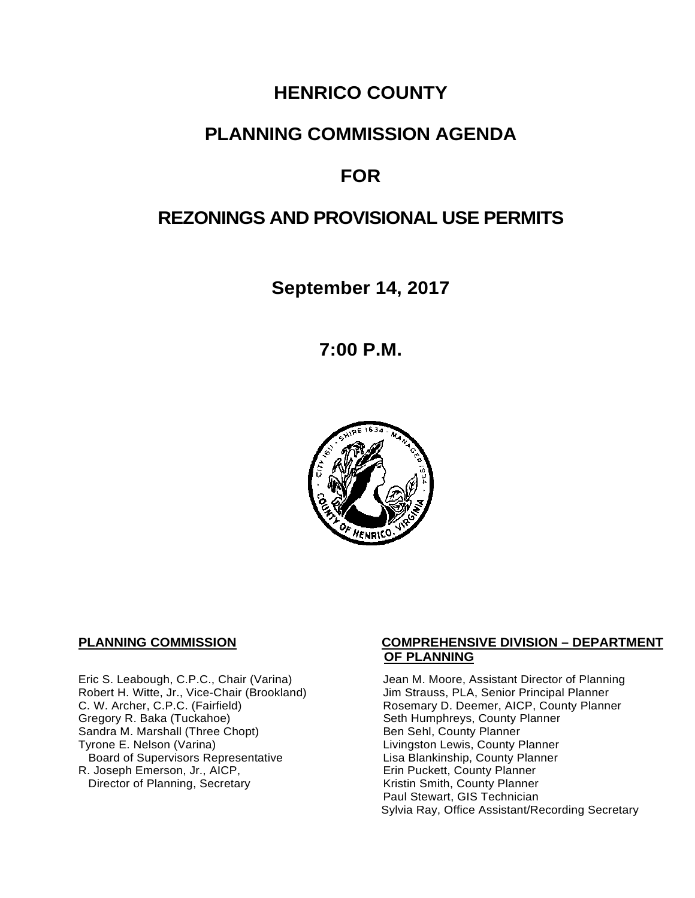# **HENRICO COUNTY**

## **PLANNING COMMISSION AGENDA**

# **FOR**

## **REZONINGS AND PROVISIONAL USE PERMITS**

**September 14, 2017**

**7:00 P.M.**



Eric S. Leabough, C.P.C., Chair (Varina) Jean M. Moore, Assistant Director of Planning<br>Robert H. Witte, Jr., Vice-Chair (Brookland) Jim Strauss, PLA, Senior Principal Planner Robert H. Witte, Jr., Vice-Chair (Brookland)<br>C. W. Archer, C.P.C. (Fairfield) Gregory R. Baka (Tuckahoe) <br>
Sandra M. Marshall (Three Chopt) Sandra M. County Planner Sandra M. Marshall (Three Chopt)<br>Tyrone E. Nelson (Varina) Board of Supervisors Representative 
Lisa Blankinship, County Planner<br>
Lisa Blankinship, County Planner<br>
Lisa Blankinship, County Planner R. Joseph Emerson, Jr., AICP, Erin Puckett, County Planner<br>Director of Planning, Secretary Eric Extraction Sounty Planner Director of Planning, Secretary

#### **PLANNING COMMISSION COMPREHENSIVE DIVISION – DEPARTMENT OF PLANNING**

Rosemary D. Deemer, AICP, County Planner<br>Seth Humphreys, County Planner Livingston Lewis, County Planner Paul Stewart, GIS Technician Sylvia Ray, Office Assistant/Recording Secretary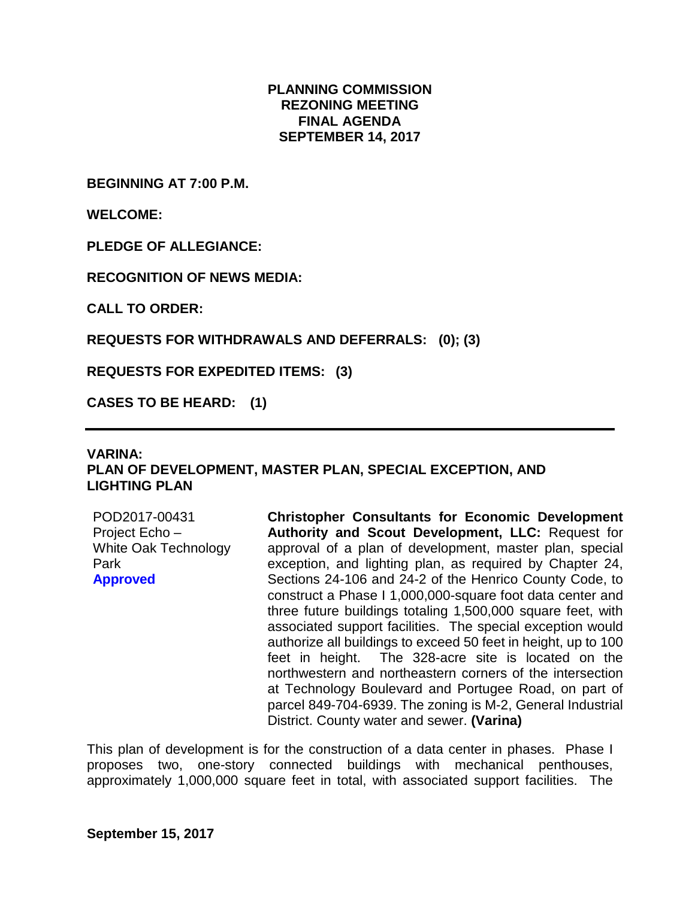#### **PLANNING COMMISSION REZONING MEETING FINAL AGENDA SEPTEMBER 14, 2017**

**BEGINNING AT 7:00 P.M.**

**WELCOME:**

**PLEDGE OF ALLEGIANCE:**

**RECOGNITION OF NEWS MEDIA:**

**CALL TO ORDER:**

**REQUESTS FOR WITHDRAWALS AND DEFERRALS: (0); (3)**

**REQUESTS FOR EXPEDITED ITEMS: (3)**

**CASES TO BE HEARD: (1)**

#### **VARINA: PLAN OF DEVELOPMENT, MASTER PLAN, SPECIAL EXCEPTION, AND LIGHTING PLAN**

POD2017-00431 Project Echo – White Oak Technology Park **Approved**

**Christopher Consultants for Economic Development Authority and Scout Development, LLC:** Request for approval of a plan of development, master plan, special exception, and lighting plan, as required by Chapter 24, Sections 24-106 and 24-2 of the Henrico County Code, to construct a Phase I 1,000,000-square foot data center and three future buildings totaling 1,500,000 square feet, with associated support facilities. The special exception would authorize all buildings to exceed 50 feet in height, up to 100 feet in height. The 328-acre site is located on the northwestern and northeastern corners of the intersection at Technology Boulevard and Portugee Road, on part of parcel 849-704-6939. The zoning is M-2, General Industrial District. County water and sewer. **(Varina)**

This plan of development is for the construction of a data center in phases. Phase I proposes two, one-story connected buildings with mechanical penthouses, approximately 1,000,000 square feet in total, with associated support facilities. The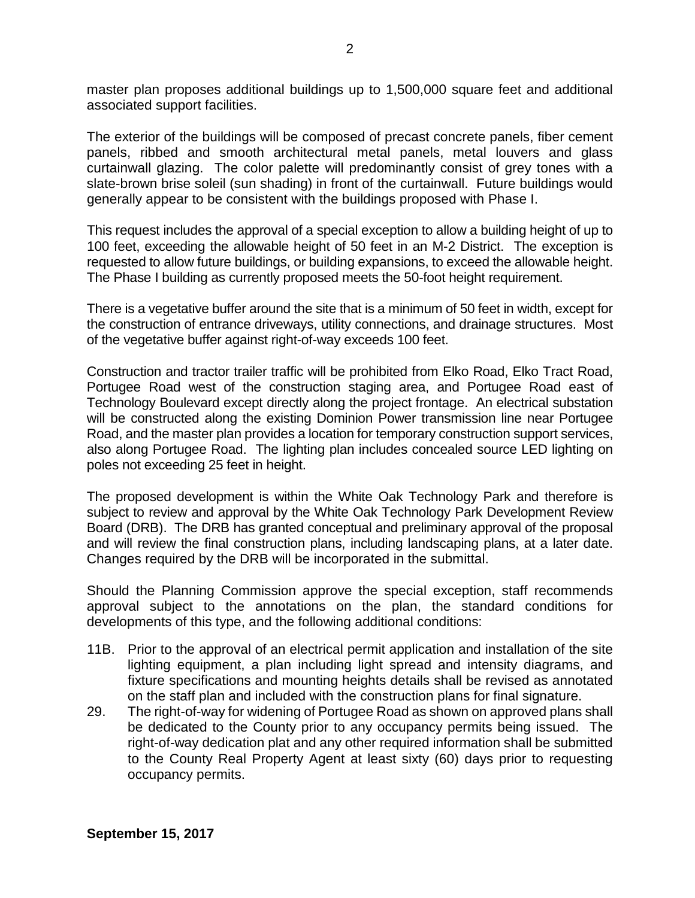master plan proposes additional buildings up to 1,500,000 square feet and additional associated support facilities.

The exterior of the buildings will be composed of precast concrete panels, fiber cement panels, ribbed and smooth architectural metal panels, metal louvers and glass curtainwall glazing. The color palette will predominantly consist of grey tones with a slate-brown brise soleil (sun shading) in front of the curtainwall. Future buildings would generally appear to be consistent with the buildings proposed with Phase I.

This request includes the approval of a special exception to allow a building height of up to 100 feet, exceeding the allowable height of 50 feet in an M-2 District. The exception is requested to allow future buildings, or building expansions, to exceed the allowable height. The Phase I building as currently proposed meets the 50-foot height requirement.

There is a vegetative buffer around the site that is a minimum of 50 feet in width, except for the construction of entrance driveways, utility connections, and drainage structures. Most of the vegetative buffer against right-of-way exceeds 100 feet.

Construction and tractor trailer traffic will be prohibited from Elko Road, Elko Tract Road, Portugee Road west of the construction staging area, and Portugee Road east of Technology Boulevard except directly along the project frontage. An electrical substation will be constructed along the existing Dominion Power transmission line near Portugee Road, and the master plan provides a location for temporary construction support services, also along Portugee Road. The lighting plan includes concealed source LED lighting on poles not exceeding 25 feet in height.

The proposed development is within the White Oak Technology Park and therefore is subject to review and approval by the White Oak Technology Park Development Review Board (DRB). The DRB has granted conceptual and preliminary approval of the proposal and will review the final construction plans, including landscaping plans, at a later date. Changes required by the DRB will be incorporated in the submittal.

Should the Planning Commission approve the special exception, staff recommends approval subject to the annotations on the plan, the standard conditions for developments of this type, and the following additional conditions:

- 11B. Prior to the approval of an electrical permit application and installation of the site lighting equipment, a plan including light spread and intensity diagrams, and fixture specifications and mounting heights details shall be revised as annotated on the staff plan and included with the construction plans for final signature.
- 29. The right-of-way for widening of Portugee Road as shown on approved plans shall be dedicated to the County prior to any occupancy permits being issued. The right-of-way dedication plat and any other required information shall be submitted to the County Real Property Agent at least sixty (60) days prior to requesting occupancy permits.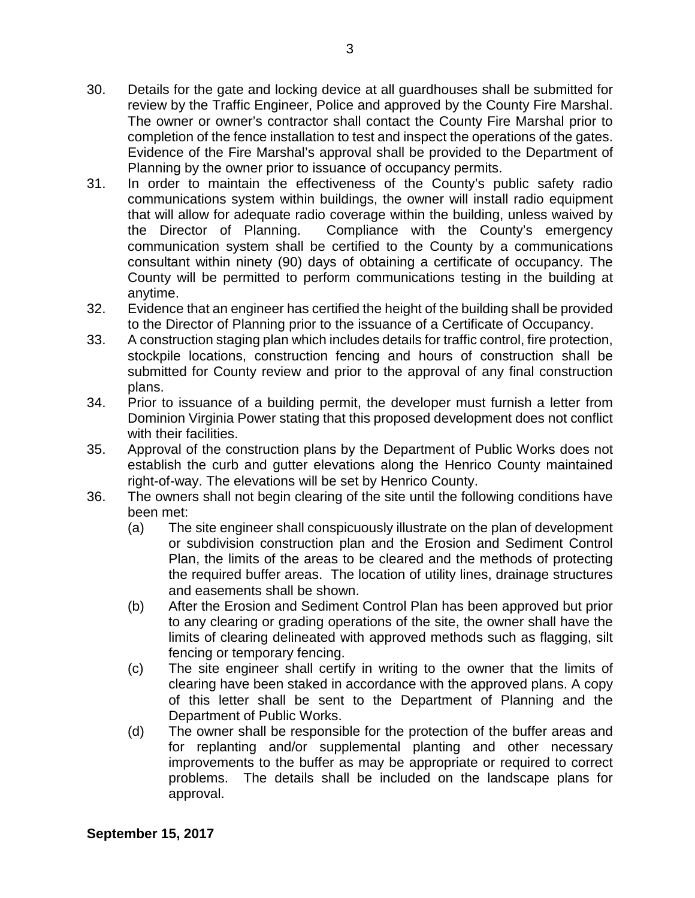- 30. Details for the gate and locking device at all guardhouses shall be submitted for review by the Traffic Engineer, Police and approved by the County Fire Marshal. The owner or owner's contractor shall contact the County Fire Marshal prior to completion of the fence installation to test and inspect the operations of the gates. Evidence of the Fire Marshal's approval shall be provided to the Department of Planning by the owner prior to issuance of occupancy permits.
- 31. In order to maintain the effectiveness of the County's public safety radio communications system within buildings, the owner will install radio equipment that will allow for adequate radio coverage within the building, unless waived by the Director of Planning. Compliance with the County's emergency communication system shall be certified to the County by a communications consultant within ninety (90) days of obtaining a certificate of occupancy. The County will be permitted to perform communications testing in the building at anytime.
- 32. Evidence that an engineer has certified the height of the building shall be provided to the Director of Planning prior to the issuance of a Certificate of Occupancy.
- 33. A construction staging plan which includes details for traffic control, fire protection, stockpile locations, construction fencing and hours of construction shall be submitted for County review and prior to the approval of any final construction plans.
- 34. Prior to issuance of a building permit, the developer must furnish a letter from Dominion Virginia Power stating that this proposed development does not conflict with their facilities.
- 35. Approval of the construction plans by the Department of Public Works does not establish the curb and gutter elevations along the Henrico County maintained right-of-way. The elevations will be set by Henrico County.
- 36. The owners shall not begin clearing of the site until the following conditions have been met:
	- (a) The site engineer shall conspicuously illustrate on the plan of development or subdivision construction plan and the Erosion and Sediment Control Plan, the limits of the areas to be cleared and the methods of protecting the required buffer areas. The location of utility lines, drainage structures and easements shall be shown.
	- (b) After the Erosion and Sediment Control Plan has been approved but prior to any clearing or grading operations of the site, the owner shall have the limits of clearing delineated with approved methods such as flagging, silt fencing or temporary fencing.
	- (c) The site engineer shall certify in writing to the owner that the limits of clearing have been staked in accordance with the approved plans. A copy of this letter shall be sent to the Department of Planning and the Department of Public Works.
	- (d) The owner shall be responsible for the protection of the buffer areas and for replanting and/or supplemental planting and other necessary improvements to the buffer as may be appropriate or required to correct problems. The details shall be included on the landscape plans for approval.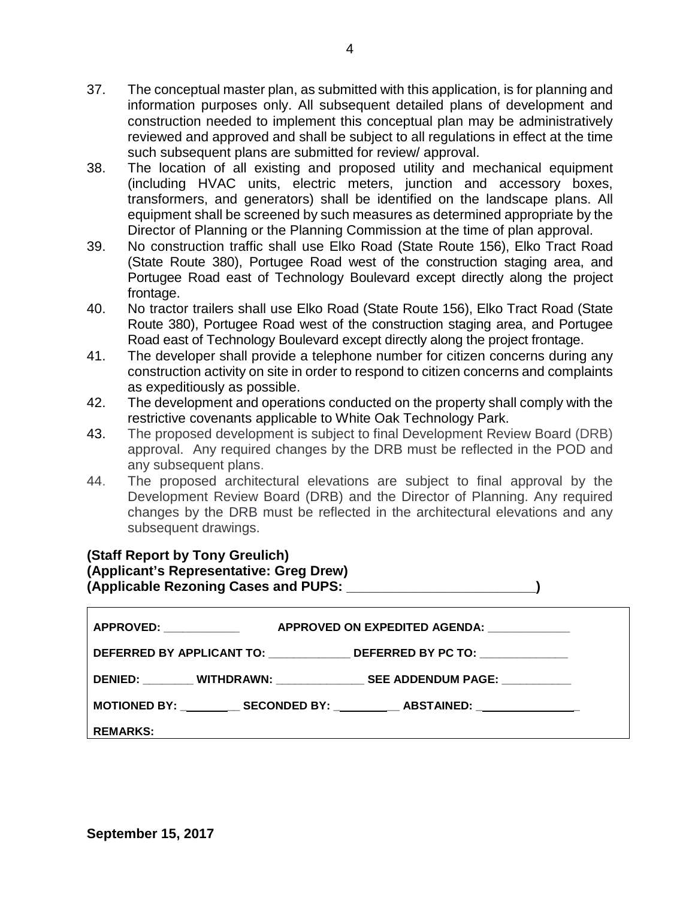- 37. The conceptual master plan, as submitted with this application, is for planning and information purposes only. All subsequent detailed plans of development and construction needed to implement this conceptual plan may be administratively reviewed and approved and shall be subject to all regulations in effect at the time such subsequent plans are submitted for review/ approval.
- 38. The location of all existing and proposed utility and mechanical equipment (including HVAC units, electric meters, junction and accessory boxes, transformers, and generators) shall be identified on the landscape plans. All equipment shall be screened by such measures as determined appropriate by the Director of Planning or the Planning Commission at the time of plan approval.
- 39. No construction traffic shall use Elko Road (State Route 156), Elko Tract Road (State Route 380), Portugee Road west of the construction staging area, and Portugee Road east of Technology Boulevard except directly along the project frontage.
- 40. No tractor trailers shall use Elko Road (State Route 156), Elko Tract Road (State Route 380), Portugee Road west of the construction staging area, and Portugee Road east of Technology Boulevard except directly along the project frontage.
- 41. The developer shall provide a telephone number for citizen concerns during any construction activity on site in order to respond to citizen concerns and complaints as expeditiously as possible.
- 42. The development and operations conducted on the property shall comply with the restrictive covenants applicable to White Oak Technology Park.
- 43. The proposed development is subject to final Development Review Board (DRB) approval. Any required changes by the DRB must be reflected in the POD and any subsequent plans.
- 44. The proposed architectural elevations are subject to final approval by the Development Review Board (DRB) and the Director of Planning. Any required changes by the DRB must be reflected in the architectural elevations and any subsequent drawings.

### **(Staff Report by Tony Greulich)**

|  | (Applicant's Representative: Greg Drew) |  |
|--|-----------------------------------------|--|
|  |                                         |  |
|  |                                         |  |
|  | (Applicable Rezoning Cases and PUPS:    |  |
|  |                                         |  |

| <b>APPROVED: ____________</b>                                                | APPROVED ON EXPEDITED AGENDA:                                                    |  |  |  |
|------------------------------------------------------------------------------|----------------------------------------------------------------------------------|--|--|--|
| DEFERRED BY APPLICANT TO: ________________ DEFERRED BY PC TO: ______________ |                                                                                  |  |  |  |
|                                                                              | DENIED: ________ WITHDRAWN: _________________ SEE ADDENDUM PAGE: ___________     |  |  |  |
|                                                                              | MOTIONED BY: ____________ SECONDED BY: ___________ ABSTAINED: __________________ |  |  |  |
| REMARKS:                                                                     |                                                                                  |  |  |  |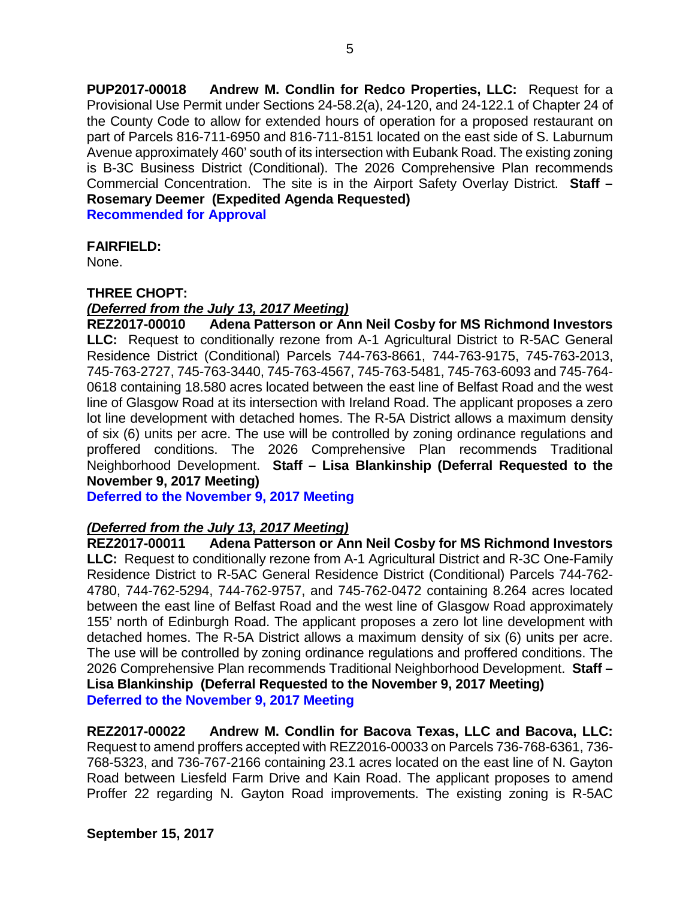**PUP2017-00018 Andrew M. Condlin for Redco Properties, LLC:** Request for a Provisional Use Permit under Sections 24-58.2(a), 24-120, and 24-122.1 of Chapter 24 of the County Code to allow for extended hours of operation for a proposed restaurant on part of Parcels 816-711-6950 and 816-711-8151 located on the east side of S. Laburnum Avenue approximately 460' south of its intersection with Eubank Road. The existing zoning is B-3C Business District (Conditional). The 2026 Comprehensive Plan recommends Commercial Concentration. The site is in the Airport Safety Overlay District. **Staff – Rosemary Deemer (Expedited Agenda Requested) Recommended for Approval**

#### **FAIRFIELD:**

None.

#### **THREE CHOPT:**

#### *(Deferred from the July 13, 2017 Meeting)*

**REZ2017-00010 Adena Patterson or Ann Neil Cosby for MS Richmond Investors LLC:** Request to conditionally rezone from A-1 Agricultural District to R-5AC General Residence District (Conditional) Parcels 744-763-8661, 744-763-9175, 745-763-2013, 745-763-2727, 745-763-3440, 745-763-4567, 745-763-5481, 745-763-6093 and 745-764- 0618 containing 18.580 acres located between the east line of Belfast Road and the west line of Glasgow Road at its intersection with Ireland Road. The applicant proposes a zero lot line development with detached homes. The R-5A District allows a maximum density of six (6) units per acre. The use will be controlled by zoning ordinance regulations and proffered conditions. The 2026 Comprehensive Plan recommends Traditional Neighborhood Development. **Staff – Lisa Blankinship (Deferral Requested to the November 9, 2017 Meeting)**

**Deferred to the November 9, 2017 Meeting**

#### *(Deferred from the July 13, 2017 Meeting)*

**REZ2017-00011 Adena Patterson or Ann Neil Cosby for MS Richmond Investors LLC:** Request to conditionally rezone from A-1 Agricultural District and R-3C One-Family Residence District to R-5AC General Residence District (Conditional) Parcels 744-762- 4780, 744-762-5294, 744-762-9757, and 745-762-0472 containing 8.264 acres located between the east line of Belfast Road and the west line of Glasgow Road approximately 155' north of Edinburgh Road. The applicant proposes a zero lot line development with detached homes. The R-5A District allows a maximum density of six (6) units per acre. The use will be controlled by zoning ordinance regulations and proffered conditions. The 2026 Comprehensive Plan recommends Traditional Neighborhood Development. **Staff – Lisa Blankinship (Deferral Requested to the November 9, 2017 Meeting) Deferred to the November 9, 2017 Meeting**

**REZ2017-00022 Andrew M. Condlin for Bacova Texas, LLC and Bacova, LLC:** Request to amend proffers accepted with REZ2016-00033 on Parcels 736-768-6361, 736- 768-5323, and 736-767-2166 containing 23.1 acres located on the east line of N. Gayton Road between Liesfeld Farm Drive and Kain Road. The applicant proposes to amend Proffer 22 regarding N. Gayton Road improvements. The existing zoning is R-5AC